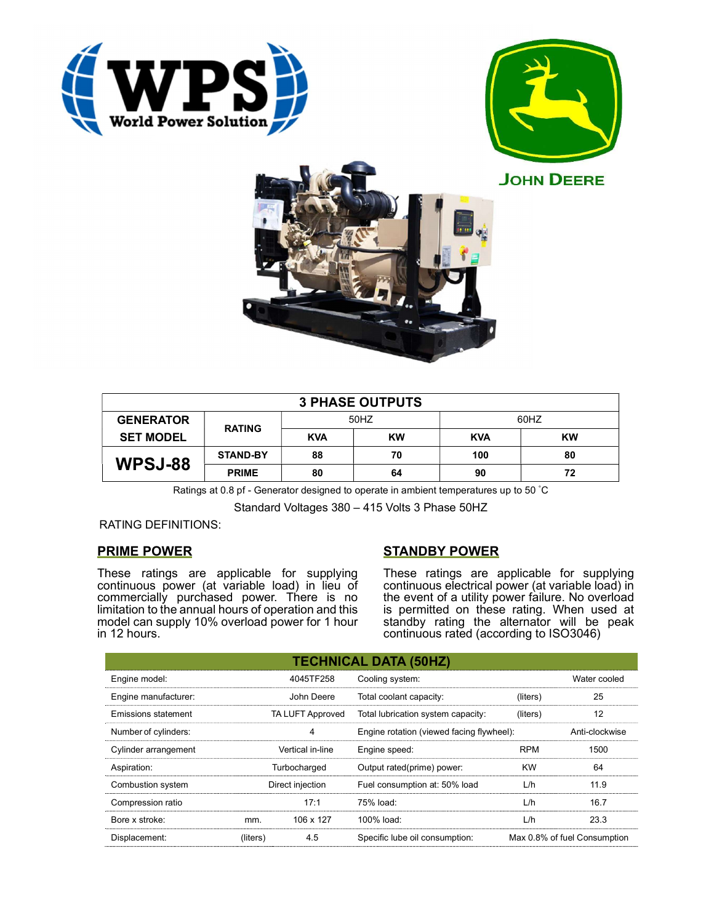





| <b>3 PHASE OUTPUTS</b> |                 |            |           |            |    |  |
|------------------------|-----------------|------------|-----------|------------|----|--|
| <b>GENERATOR</b>       | <b>RATING</b>   | 50HZ       |           | 60HZ       |    |  |
| <b>SET MODEL</b>       |                 | <b>KVA</b> | <b>KW</b> | <b>KVA</b> | KW |  |
| <b>WPSJ-88</b>         | <b>STAND-BY</b> | 88         | 70        | 100        | 80 |  |
|                        | <b>PRIME</b>    | 80         | 64        | 90         | 72 |  |

Ratings at 0.8 pf - Generator designed to operate in ambient temperatures up to 50 °C

Standard Voltages 380 – 415 Volts 3 Phase 50HZ

## RATING DEFINITIONS:

## PRIME POWER

These ratings are applicable for supplying continuous power (at variable load) in lieu of commercially purchased power. There is no limitation to the annual hours of operation and this model can supply 10% overload power for 1 hour in 12 hours.

# STANDBY POWER

These ratings are applicable for supplying continuous electrical power (at variable load) in the event of a utility power failure. No overload is permitted on these rating. When used at standby rating the alternator will be peak continuous rated (according to ISO3046)

|                                                |                  |                                    | <b>TECHNICAL DATA (50HZ)</b>              |           |                              |
|------------------------------------------------|------------------|------------------------------------|-------------------------------------------|-----------|------------------------------|
| Engine model:                                  |                  | 4045TF258                          | Cooling system:                           |           | Water cooled                 |
| Engine manufacturer:                           |                  | John Deere                         | Total coolant capacity:                   | (liters)  | 25                           |
| TA LUFT Approved<br><b>Emissions statement</b> |                  | Total lubrication system capacity: | (liters)                                  | 12        |                              |
| Number of cylinders:                           |                  | 4                                  | Engine rotation (viewed facing flywheel): |           | Anti-clockwise               |
| Vertical in-line<br>Cylinder arrangement       |                  | Engine speed:                      | <b>RPM</b>                                | 1500      |                              |
| Aspiration:                                    |                  | Turbocharged                       | Output rated(prime) power:                | <b>KW</b> | 64                           |
| Combustion system                              | Direct injection |                                    | Fuel consumption at: 50% load             | L/h       | 11.9                         |
| Compression ratio                              |                  | 17:1                               | 75% load:                                 | L/h       | 16.7                         |
| Bore x stroke:                                 | mm.              | 106 x 127                          | 100% load:                                | L/h       | 23.3                         |
| Displacement:                                  | (liters)         | 4.5                                | Specific lube oil consumption:            |           | Max 0.8% of fuel Consumption |